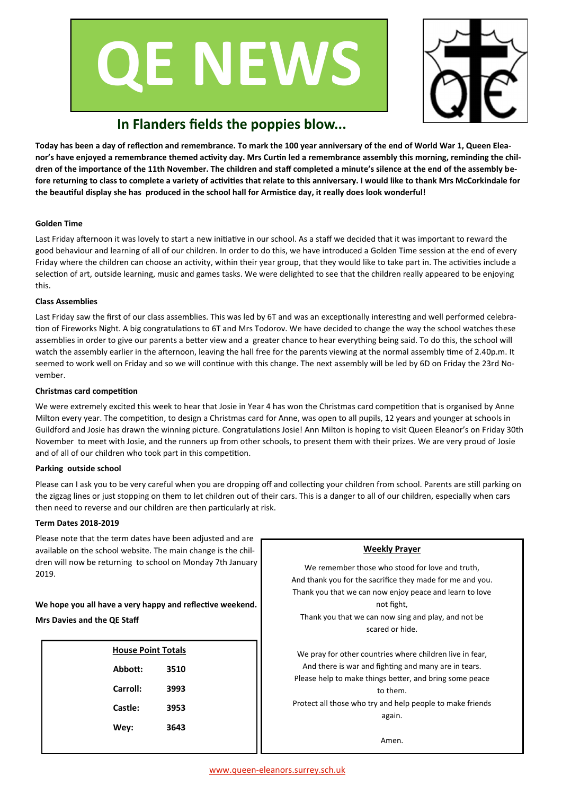



# **In Flanders fields the poppies blow...**

**Today has been a day of reflection and remembrance. To mark the 100 year anniversary of the end of World War 1, Queen Eleanor's have enjoyed a remembrance themed activity day. Mrs Curtin led a remembrance assembly this morning, reminding the children of the importance of the 11th November. The children and staff completed a minute's silence at the end of the assembly before returning to class to complete a variety of activities that relate to this anniversary. I would like to thank Mrs McCorkindale for the beautiful display she has produced in the school hall for Armistice day, it really does look wonderful!** 

### **Golden Time**

Last Friday afternoon it was lovely to start a new initiative in our school. As a staff we decided that it was important to reward the good behaviour and learning of all of our children. In order to do this, we have introduced a Golden Time session at the end of every Friday where the children can choose an activity, within their year group, that they would like to take part in. The activities include a selection of art, outside learning, music and games tasks. We were delighted to see that the children really appeared to be enjoying this.

### **Class Assemblies**

Last Friday saw the first of our class assemblies. This was led by 6T and was an exceptionally interesting and well performed celebration of Fireworks Night. A big congratulations to 6T and Mrs Todorov. We have decided to change the way the school watches these assemblies in order to give our parents a better view and a greater chance to hear everything being said. To do this, the school will watch the assembly earlier in the afternoon, leaving the hall free for the parents viewing at the normal assembly time of 2.40p.m. It seemed to work well on Friday and so we will continue with this change. The next assembly will be led by 6D on Friday the 23rd November.

### **Christmas card competition**

We were extremely excited this week to hear that Josie in Year 4 has won the Christmas card competition that is organised by Anne Milton every year. The competition, to design a Christmas card for Anne, was open to all pupils, 12 years and younger at schools in Guildford and Josie has drawn the winning picture. Congratulations Josie! Ann Milton is hoping to visit Queen Eleanor's on Friday 30th November to meet with Josie, and the runners up from other schools, to present them with their prizes. We are very proud of Josie and of all of our children who took part in this competition.

### **Parking outside school**

Please can I ask you to be very careful when you are dropping off and collecting your children from school. Parents are still parking on the zigzag lines or just stopping on them to let children out of their cars. This is a danger to all of our children, especially when cars then need to reverse and our children are then particularly at risk.

### **Term Dates 2018-2019**

Please note that the term dates have been adjusted and are available on the school website. The main change is the children will now be returning to school on Monday 7th January 2019.

**We hope you all have a very happy and reflective weekend. Mrs Davies and the QE Staff**

| <b>House Point Totals</b> |      |  |
|---------------------------|------|--|
| Abbott:                   | 3510 |  |
| Carroll:                  | 3993 |  |
| Castle:                   | 3953 |  |
| Wey:                      | 3643 |  |
|                           |      |  |

# **Weekly Prayer** We remember those who stood for love and truth, And thank you for the sacrifice they made for me and you. Thank you that we can now enjoy peace and learn to love not fight, Thank you that we can now sing and play, and not be scared or hide. We pray for other countries where children live in fear, And there is war and fighting and many are in tears. Please help to make things better, and bring some peace to them. Protect all those who try and help people to make friends again. Amen.